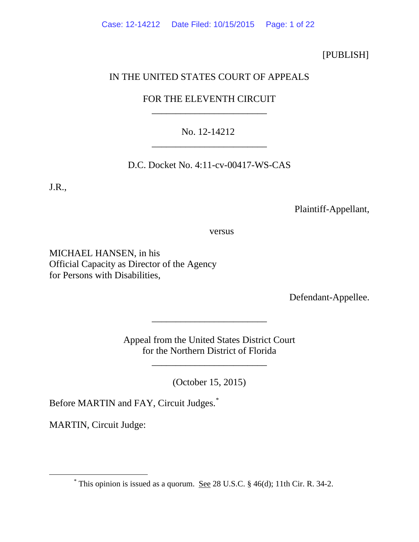# [PUBLISH]

# IN THE UNITED STATES COURT OF APPEALS

# FOR THE ELEVENTH CIRCUIT \_\_\_\_\_\_\_\_\_\_\_\_\_\_\_\_\_\_\_\_\_\_\_\_

# No. 12-14212 \_\_\_\_\_\_\_\_\_\_\_\_\_\_\_\_\_\_\_\_\_\_\_\_

# D.C. Docket No. 4:11-cv-00417-WS-CAS

J.R.,

Plaintiff-Appellant,

versus

MICHAEL HANSEN, in his Official Capacity as Director of the Agency for Persons with Disabilities,

Defendant-Appellee.

Appeal from the United States District Court for the Northern District of Florida

\_\_\_\_\_\_\_\_\_\_\_\_\_\_\_\_\_\_\_\_\_\_\_\_

\_\_\_\_\_\_\_\_\_\_\_\_\_\_\_\_\_\_\_\_\_\_\_\_

(October 15, 2015)

Before MARTIN and FAY, Circuit Judges.<sup>[\\*](#page-0-0)</sup>

MARTIN, Circuit Judge:

<span id="page-0-0"></span> $*$  This opinion is issued as a quorum. See 28 U.S.C. § 46(d); 11th Cir. R. 34-2.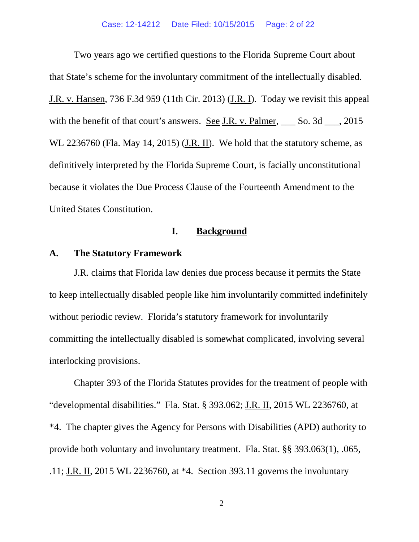Two years ago we certified questions to the Florida Supreme Court about that State's scheme for the involuntary commitment of the intellectually disabled. J.R. v. Hansen, 736 F.3d 959 (11th Cir. 2013) (J.R. I). Today we revisit this appeal with the benefit of that court's answers. See J.R. v. Palmer, So. 3d Summer, 2015 WL 2236760 (Fla. May 14, 2015) (*J.R. II*). We hold that the statutory scheme, as definitively interpreted by the Florida Supreme Court, is facially unconstitutional because it violates the Due Process Clause of the Fourteenth Amendment to the United States Constitution.

### **I. Background**

### **A. The Statutory Framework**

J.R. claims that Florida law denies due process because it permits the State to keep intellectually disabled people like him involuntarily committed indefinitely without periodic review. Florida's statutory framework for involuntarily committing the intellectually disabled is somewhat complicated, involving several interlocking provisions.

Chapter 393 of the Florida Statutes provides for the treatment of people with "developmental disabilities." Fla. Stat. § 393.062; J.R. II, 2015 WL 2236760, at \*4. The chapter gives the Agency for Persons with Disabilities (APD) authority to provide both voluntary and involuntary treatment. Fla. Stat. §§ 393.063(1), .065, .11; J.R. II, 2015 WL 2236760, at \*4. Section 393.11 governs the involuntary

2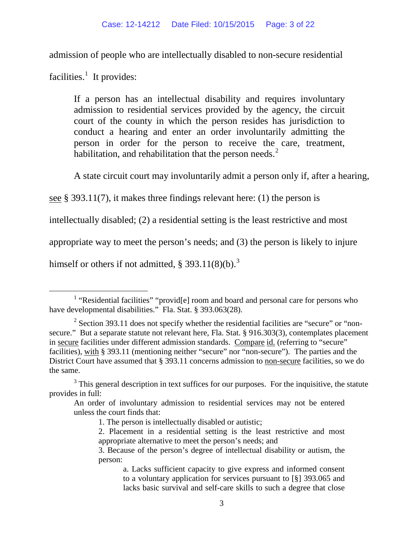admission of people who are intellectually disabled to non-secure residential

facilities.<sup>[1](#page-2-0)</sup> It provides:

If a person has an intellectual disability and requires involuntary admission to residential services provided by the agency, the circuit court of the county in which the person resides has jurisdiction to conduct a hearing and enter an order involuntarily admitting the person in order for the person to receive the care, treatment, habilitation, and rehabilitation that the person needs. $<sup>2</sup>$  $<sup>2</sup>$  $<sup>2</sup>$ </sup>

A state circuit court may involuntarily admit a person only if, after a hearing,

see § 393.11(7), it makes three findings relevant here: (1) the person is

intellectually disabled; (2) a residential setting is the least restrictive and most

appropriate way to meet the person's needs; and (3) the person is likely to injure

himself or others if not admitted,  $\S 393.11(8)(b)$  $\S 393.11(8)(b)$  $\S 393.11(8)(b)$ .<sup>3</sup>

<span id="page-2-0"></span><sup>&</sup>lt;sup>1</sup> "Residential facilities" "provid<sup>[e]</sup> room and board and personal care for persons who have developmental disabilities." Fla. Stat. § 393.063(28).

<span id="page-2-1"></span> $2$  Section 393.11 does not specify whether the residential facilities are "secure" or "nonsecure." But a separate statute not relevant here, Fla. Stat. § 916.303(3), contemplates placement in secure facilities under different admission standards. Compare id. (referring to "secure" facilities), with § 393.11 (mentioning neither "secure" nor "non-secure"). The parties and the District Court have assumed that § 393.11 concerns admission to non-secure facilities, so we do the same.

<span id="page-2-2"></span> $3$  This general description in text suffices for our purposes. For the inquisitive, the statute provides in full:

An order of involuntary admission to residential services may not be entered unless the court finds that:

<sup>1.</sup> The person is intellectually disabled or autistic;

<sup>2.</sup> Placement in a residential setting is the least restrictive and most appropriate alternative to meet the person's needs; and

<sup>3.</sup> Because of the person's degree of intellectual disability or autism, the person:

a. Lacks sufficient capacity to give express and informed consent to a voluntary application for services pursuant to [§] 393.065 and lacks basic survival and self-care skills to such a degree that close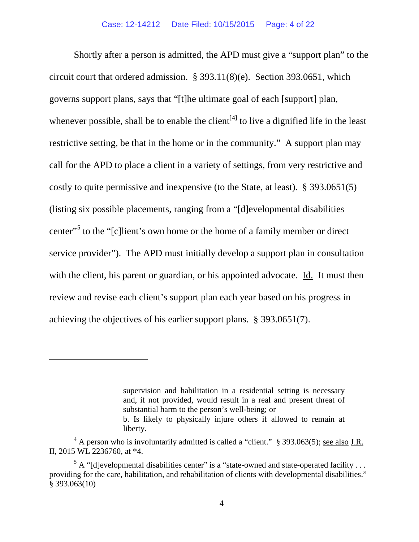Shortly after a person is admitted, the APD must give a "support plan" to the circuit court that ordered admission. § 393.11(8)(e). Section 393.0651, which governs support plans, says that "[t]he ultimate goal of each [support] plan, whenever possible, shall be to enable the client<sup>[[4\]](#page-3-0)</sup> to live a dignified life in the least restrictive setting, be that in the home or in the community." A support plan may call for the APD to place a client in a variety of settings, from very restrictive and costly to quite permissive and inexpensive (to the State, at least). § 393.0651(5) (listing six possible placements, ranging from a "[d]evelopmental disabilities center"<sup>[5](#page-3-1)</sup> to the "[c]lient's own home or the home of a family member or direct service provider"). The APD must initially develop a support plan in consultation with the client, his parent or guardian, or his appointed advocate. Id. It must then review and revise each client's support plan each year based on his progress in achieving the objectives of his earlier support plans. § 393.0651(7).

 $\overline{a}$ 

supervision and habilitation in a residential setting is necessary and, if not provided, would result in a real and present threat of substantial harm to the person's well-being; or b. Is likely to physically injure others if allowed to remain at liberty.

<span id="page-3-0"></span> $^{4}$  A person who is involuntarily admitted is called a "client." § 393.063(5); see also J.R. II, 2015 WL 2236760, at \*4.

<span id="page-3-1"></span> $5$  A "[d]evelopmental disabilities center" is a "state-owned and state-operated facility ... providing for the care, habilitation, and rehabilitation of clients with developmental disabilities." § 393.063(10)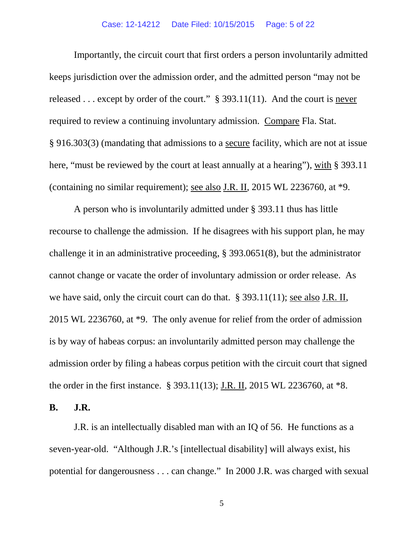#### Case: 12-14212 Date Filed: 10/15/2015 Page: 5 of 22

Importantly, the circuit court that first orders a person involuntarily admitted keeps jurisdiction over the admission order, and the admitted person "may not be released  $\ldots$  except by order of the court." § 393.11(11). And the court is never required to review a continuing involuntary admission. Compare Fla. Stat. § 916.303(3) (mandating that admissions to a secure facility, which are not at issue here, "must be reviewed by the court at least annually at a hearing"), with § 393.11 (containing no similar requirement); see also J.R. II, 2015 WL 2236760, at \*9.

A person who is involuntarily admitted under § 393.11 thus has little recourse to challenge the admission. If he disagrees with his support plan, he may challenge it in an administrative proceeding, § 393.0651(8), but the administrator cannot change or vacate the order of involuntary admission or order release. As we have said, only the circuit court can do that. § 393.11(11); see also J.R. II, 2015 WL 2236760, at \*9. The only avenue for relief from the order of admission is by way of habeas corpus: an involuntarily admitted person may challenge the admission order by filing a habeas corpus petition with the circuit court that signed the order in the first instance. § 393.11(13); J.R. II, 2015 WL 2236760, at \*8.

**B. J.R.**

J.R. is an intellectually disabled man with an IQ of 56. He functions as a seven-year-old. "Although J.R.'s [intellectual disability] will always exist, his potential for dangerousness . . . can change." In 2000 J.R. was charged with sexual

5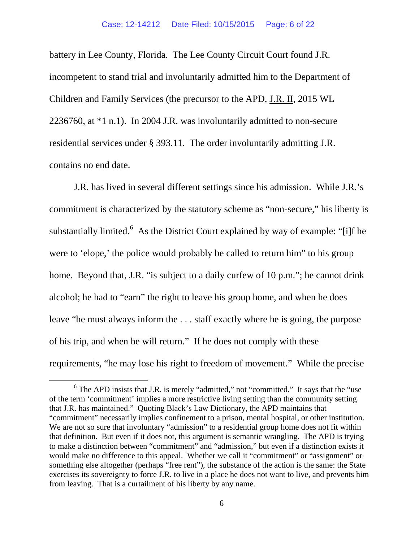battery in Lee County, Florida. The Lee County Circuit Court found J.R. incompetent to stand trial and involuntarily admitted him to the Department of Children and Family Services (the precursor to the APD, J.R. II, 2015 WL 2236760, at \*1 n.1). In 2004 J.R. was involuntarily admitted to non-secure residential services under § 393.11. The order involuntarily admitting J.R. contains no end date.

J.R. has lived in several different settings since his admission. While J.R.'s commitment is characterized by the statutory scheme as "non-secure," his liberty is substantially limited.<sup>[6](#page-5-0)</sup> As the District Court explained by way of example: "[i]f he were to 'elope,' the police would probably be called to return him" to his group home. Beyond that, J.R. "is subject to a daily curfew of 10 p.m."; he cannot drink alcohol; he had to "earn" the right to leave his group home, and when he does leave "he must always inform the . . . staff exactly where he is going, the purpose of his trip, and when he will return." If he does not comply with these requirements, "he may lose his right to freedom of movement." While the precise

<span id="page-5-0"></span> $6$  The APD insists that J.R. is merely "admitted," not "committed." It says that the "use of the term 'commitment' implies a more restrictive living setting than the community setting that J.R. has maintained." Quoting Black's Law Dictionary, the APD maintains that "commitment" necessarily implies confinement to a prison, mental hospital, or other institution. We are not so sure that involuntary "admission" to a residential group home does not fit within that definition. But even if it does not, this argument is semantic wrangling. The APD is trying to make a distinction between "commitment" and "admission," but even if a distinction exists it would make no difference to this appeal. Whether we call it "commitment" or "assignment" or something else altogether (perhaps "free rent"), the substance of the action is the same: the State exercises its sovereignty to force J.R. to live in a place he does not want to live, and prevents him from leaving. That is a curtailment of his liberty by any name.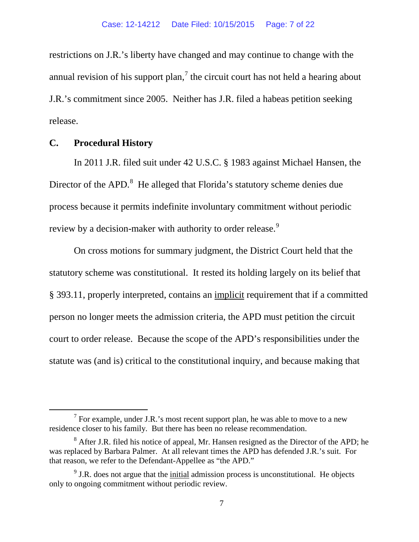restrictions on J.R.'s liberty have changed and may continue to change with the annual revision of his support plan, $<sup>7</sup>$  $<sup>7</sup>$  $<sup>7</sup>$  the circuit court has not held a hearing about</sup> J.R.'s commitment since 2005. Neither has J.R. filed a habeas petition seeking release.

### **C. Procedural History**

In 2011 J.R. filed suit under 42 U.S.C. § 1983 against Michael Hansen, the Director of the APD.<sup>[8](#page-6-1)</sup> He alleged that Florida's statutory scheme denies due process because it permits indefinite involuntary commitment without periodic review by a decision-maker with authority to order release.<sup>[9](#page-6-2)</sup>

On cross motions for summary judgment, the District Court held that the statutory scheme was constitutional. It rested its holding largely on its belief that § 393.11, properly interpreted, contains an implicit requirement that if a committed person no longer meets the admission criteria, the APD must petition the circuit court to order release. Because the scope of the APD's responsibilities under the statute was (and is) critical to the constitutional inquiry, and because making that

<span id="page-6-0"></span> $7$  For example, under J.R.'s most recent support plan, he was able to move to a new residence closer to his family. But there has been no release recommendation.

<span id="page-6-1"></span> $8$  After J.R. filed his notice of appeal, Mr. Hansen resigned as the Director of the APD; he was replaced by Barbara Palmer. At all relevant times the APD has defended J.R.'s suit. For that reason, we refer to the Defendant-Appellee as "the APD."

<span id="page-6-2"></span> $9$  J.R. does not argue that the initial admission process is unconstitutional. He objects only to ongoing commitment without periodic review.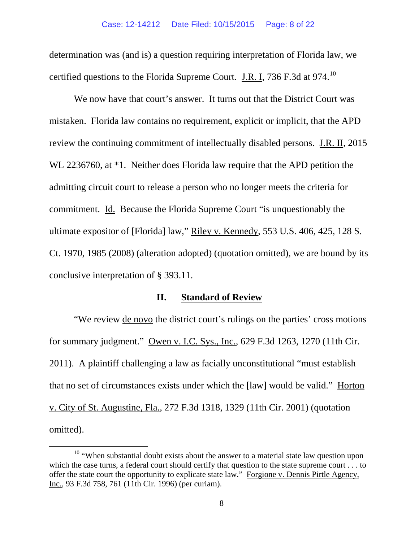determination was (and is) a question requiring interpretation of Florida law, we certified questions to the Florida Supreme Court. J.R. I, 736 F.3d at 974.<sup>[10](#page-7-0)</sup>

We now have that court's answer. It turns out that the District Court was mistaken. Florida law contains no requirement, explicit or implicit, that the APD review the continuing commitment of intellectually disabled persons. J.R. II, 2015 WL 2236760, at \*1. Neither does Florida law require that the APD petition the admitting circuit court to release a person who no longer meets the criteria for commitment. Id. Because the Florida Supreme Court "is unquestionably the ultimate expositor of [Florida] law," Riley v. Kennedy, 553 U.S. 406, 425, 128 S. Ct. 1970, 1985 (2008) (alteration adopted) (quotation omitted), we are bound by its conclusive interpretation of § 393.11.

### **II. Standard of Review**

"We review de novo the district court's rulings on the parties' cross motions for summary judgment." Owen v. I.C. Sys., Inc., 629 F.3d 1263, 1270 (11th Cir. 2011). A plaintiff challenging a law as facially unconstitutional "must establish that no set of circumstances exists under which the [law] would be valid." Horton v. City of St. Augustine, Fla., 272 F.3d 1318, 1329 (11th Cir. 2001) (quotation omitted).

<span id="page-7-0"></span> $10$  "When substantial doubt exists about the answer to a material state law question upon which the case turns, a federal court should certify that question to the state supreme court . . . to offer the state court the opportunity to explicate state law." Forgione v. Dennis Pirtle Agency, Inc., 93 F.3d 758, 761 (11th Cir. 1996) (per curiam).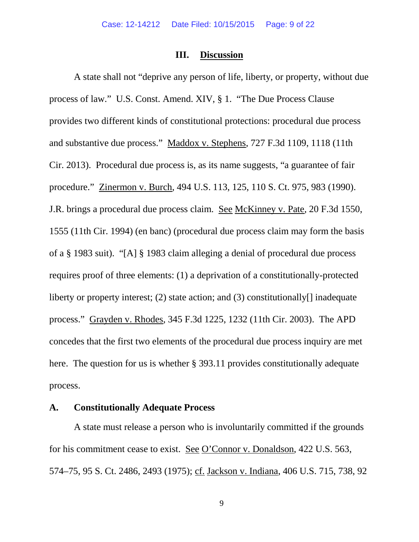#### **III. Discussion**

A state shall not "deprive any person of life, liberty, or property, without due process of law." U.S. Const. Amend. XIV, § 1. "The Due Process Clause provides two different kinds of constitutional protections: procedural due process and substantive due process." Maddox v. Stephens, 727 F.3d 1109, 1118 (11th Cir. 2013). Procedural due process is, as its name suggests, "a guarantee of fair procedure." Zinermon v. Burch, 494 U.S. 113, 125, 110 S. Ct. 975, 983 (1990). J.R. brings a procedural due process claim. See McKinney v. Pate, 20 F.3d 1550, 1555 (11th Cir. 1994) (en banc) (procedural due process claim may form the basis of a § 1983 suit). "[A] § 1983 claim alleging a denial of procedural due process requires proof of three elements: (1) a deprivation of a constitutionally-protected liberty or property interest; (2) state action; and (3) constitutionally[] inadequate process." Grayden v. Rhodes, 345 F.3d 1225, 1232 (11th Cir. 2003). The APD concedes that the first two elements of the procedural due process inquiry are met here. The question for us is whether § 393.11 provides constitutionally adequate process.

## **A. Constitutionally Adequate Process**

A state must release a person who is involuntarily committed if the grounds for his commitment cease to exist. See O'Connor v. Donaldson, 422 U.S. 563, 574–75, 95 S. Ct. 2486, 2493 (1975); cf. Jackson v. Indiana, 406 U.S. 715, 738, 92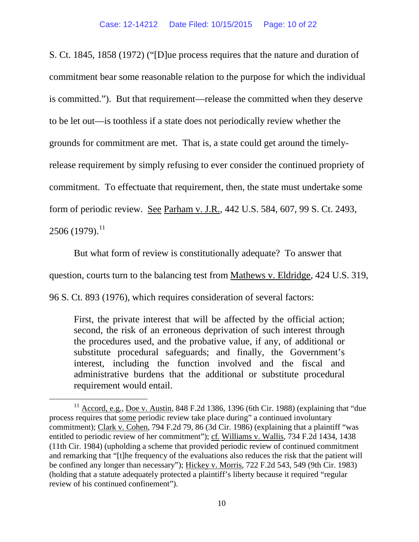S. Ct. 1845, 1858 (1972) ("[D]ue process requires that the nature and duration of commitment bear some reasonable relation to the purpose for which the individual is committed."). But that requirement—release the committed when they deserve to be let out—is toothless if a state does not periodically review whether the grounds for commitment are met. That is, a state could get around the timelyrelease requirement by simply refusing to ever consider the continued propriety of commitment. To effectuate that requirement, then, the state must undertake some form of periodic review. See Parham v. J.R., 442 U.S. 584, 607, 99 S. Ct. 2493, 2506 (1979).<sup>[11](#page-9-0)</sup>

But what form of review is constitutionally adequate? To answer that question, courts turn to the balancing test from Mathews v. Eldridge, 424 U.S. 319, 96 S. Ct. 893 (1976), which requires consideration of several factors:

First, the private interest that will be affected by the official action; second, the risk of an erroneous deprivation of such interest through the procedures used, and the probative value, if any, of additional or substitute procedural safeguards; and finally, the Government's interest, including the function involved and the fiscal and administrative burdens that the additional or substitute procedural requirement would entail.

<span id="page-9-0"></span><sup>&</sup>lt;sup>11</sup> Accord, e.g., Doe v. Austin, 848 F.2d 1386, 1396 (6th Cir. 1988) (explaining that "due process requires that some periodic review take place during" a continued involuntary commitment); Clark v. Cohen, 794 F.2d 79, 86 (3d Cir. 1986) (explaining that a plaintiff "was entitled to periodic review of her commitment"); cf. Williams v. Wallis, 734 F.2d 1434, 1438 (11th Cir. 1984) (upholding a scheme that provided periodic review of continued commitment and remarking that "[t]he frequency of the evaluations also reduces the risk that the patient will be confined any longer than necessary"); Hickey v. Morris, 722 F.2d 543, 549 (9th Cir. 1983) (holding that a statute adequately protected a plaintiff's liberty because it required "regular review of his continued confinement").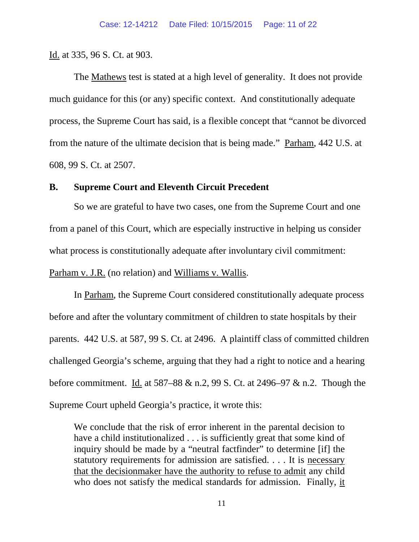### Id. at 335, 96 S. Ct. at 903.

The Mathews test is stated at a high level of generality. It does not provide much guidance for this (or any) specific context. And constitutionally adequate process, the Supreme Court has said, is a flexible concept that "cannot be divorced from the nature of the ultimate decision that is being made." Parham, 442 U.S. at 608, 99 S. Ct. at 2507.

### **B. Supreme Court and Eleventh Circuit Precedent**

So we are grateful to have two cases, one from the Supreme Court and one from a panel of this Court, which are especially instructive in helping us consider what process is constitutionally adequate after involuntary civil commitment: Parham v. J.R. (no relation) and Williams v. Wallis.

In Parham, the Supreme Court considered constitutionally adequate process before and after the voluntary commitment of children to state hospitals by their parents. 442 U.S. at 587, 99 S. Ct. at 2496. A plaintiff class of committed children challenged Georgia's scheme, arguing that they had a right to notice and a hearing before commitment. Id. at 587–88 & n.2, 99 S. Ct. at 2496–97 & n.2. Though the Supreme Court upheld Georgia's practice, it wrote this:

We conclude that the risk of error inherent in the parental decision to have a child institutionalized . . . is sufficiently great that some kind of inquiry should be made by a "neutral factfinder" to determine [if] the statutory requirements for admission are satisfied. . . . It is necessary that the decisionmaker have the authority to refuse to admit any child who does not satisfy the medical standards for admission. Finally, it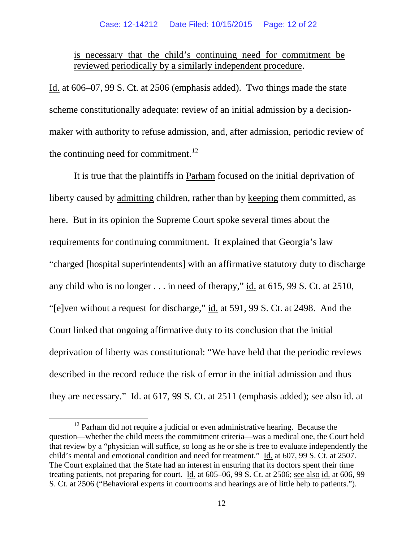is necessary that the child's continuing need for commitment be reviewed periodically by a similarly independent procedure.

Id. at 606–07, 99 S. Ct. at 2506 (emphasis added). Two things made the state scheme constitutionally adequate: review of an initial admission by a decisionmaker with authority to refuse admission, and, after admission, periodic review of the continuing need for commitment. $^{12}$  $^{12}$  $^{12}$ 

It is true that the plaintiffs in Parham focused on the initial deprivation of liberty caused by admitting children, rather than by keeping them committed, as here. But in its opinion the Supreme Court spoke several times about the requirements for continuing commitment. It explained that Georgia's law "charged [hospital superintendents] with an affirmative statutory duty to discharge any child who is no longer . . . in need of therapy," id. at 615, 99 S. Ct. at 2510, "[e]ven without a request for discharge," id. at 591, 99 S. Ct. at 2498. And the Court linked that ongoing affirmative duty to its conclusion that the initial deprivation of liberty was constitutional: "We have held that the periodic reviews described in the record reduce the risk of error in the initial admission and thus they are necessary." Id. at 617, 99 S. Ct. at 2511 (emphasis added); see also id. at

<span id="page-11-0"></span> $12$  Parham did not require a judicial or even administrative hearing. Because the question—whether the child meets the commitment criteria—was a medical one, the Court held that review by a "physician will suffice, so long as he or she is free to evaluate independently the child's mental and emotional condition and need for treatment." Id. at 607, 99 S. Ct. at 2507. The Court explained that the State had an interest in ensuring that its doctors spent their time treating patients, not preparing for court. Id. at 605–06, 99 S. Ct. at 2506; see also id. at 606, 99 S. Ct. at 2506 ("Behavioral experts in courtrooms and hearings are of little help to patients.").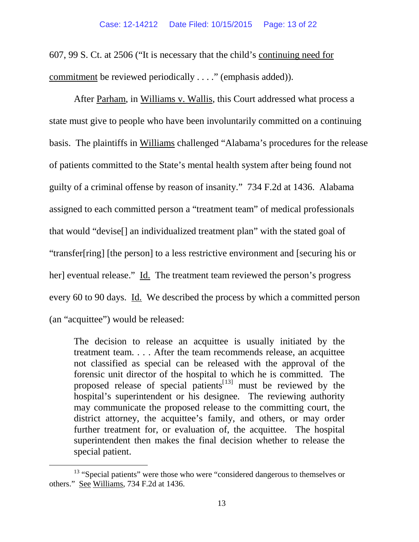607, 99 S. Ct. at 2506 ("It is necessary that the child's continuing need for commitment be reviewed periodically . . . ." (emphasis added)).

After Parham, in Williams v. Wallis, this Court addressed what process a state must give to people who have been involuntarily committed on a continuing basis. The plaintiffs in Williams challenged "Alabama's procedures for the release of patients committed to the State's mental health system after being found not guilty of a criminal offense by reason of insanity." 734 F.2d at 1436. Alabama assigned to each committed person a "treatment team" of medical professionals that would "devise[] an individualized treatment plan" with the stated goal of "transfer[ring] [the person] to a less restrictive environment and [securing his or her] eventual release." Id. The treatment team reviewed the person's progress every 60 to 90 days. Id. We described the process by which a committed person (an "acquittee") would be released:

The decision to release an acquittee is usually initiated by the treatment team. . . . After the team recommends release, an acquittee not classified as special can be released with the approval of the forensic unit director of the hospital to which he is committed. The proposed release of special patients<sup>[[13\]](#page-12-0)</sup> must be reviewed by the hospital's superintendent or his designee. The reviewing authority may communicate the proposed release to the committing court, the district attorney, the acquittee's family, and others, or may order further treatment for, or evaluation of, the acquittee. The hospital superintendent then makes the final decision whether to release the special patient.

<span id="page-12-0"></span><sup>&</sup>lt;sup>13</sup> "Special patients" were those who were "considered dangerous to themselves or others." See Williams, 734 F.2d at 1436.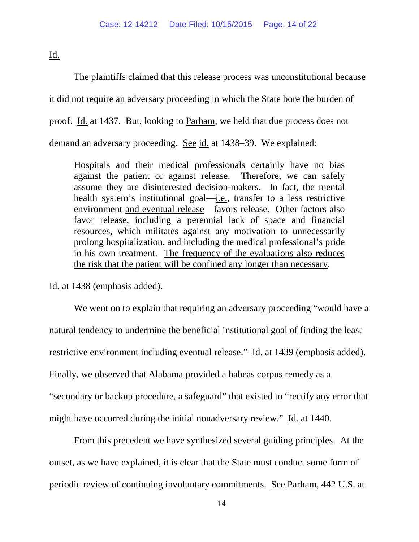Id.

The plaintiffs claimed that this release process was unconstitutional because it did not require an adversary proceeding in which the State bore the burden of proof. Id. at 1437. But, looking to Parham, we held that due process does not demand an adversary proceeding. See id. at 1438–39. We explained:

Hospitals and their medical professionals certainly have no bias against the patient or against release. Therefore, we can safely assume they are disinterested decision-makers. In fact, the mental health system's institutional goal—i.e., transfer to a less restrictive environment and eventual release—favors release. Other factors also favor release, including a perennial lack of space and financial resources, which militates against any motivation to unnecessarily prolong hospitalization, and including the medical professional's pride in his own treatment. The frequency of the evaluations also reduces the risk that the patient will be confined any longer than necessary.

Id. at 1438 (emphasis added).

We went on to explain that requiring an adversary proceeding "would have a natural tendency to undermine the beneficial institutional goal of finding the least restrictive environment including eventual release." Id. at 1439 (emphasis added). Finally, we observed that Alabama provided a habeas corpus remedy as a "secondary or backup procedure, a safeguard" that existed to "rectify any error that might have occurred during the initial nonadversary review." Id. at 1440.

From this precedent we have synthesized several guiding principles. At the outset, as we have explained, it is clear that the State must conduct some form of periodic review of continuing involuntary commitments. See Parham, 442 U.S. at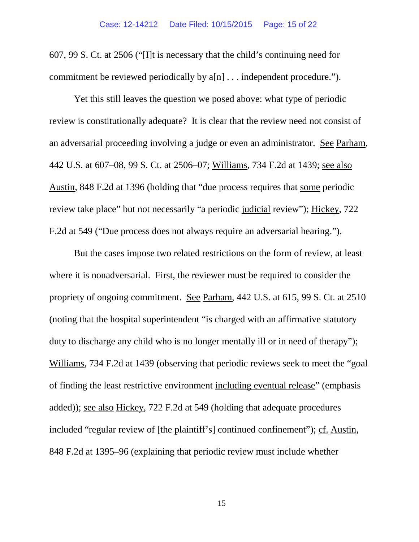607, 99 S. Ct. at 2506 ("[I]t is necessary that the child's continuing need for commitment be reviewed periodically by a[n] . . . independent procedure.").

Yet this still leaves the question we posed above: what type of periodic review is constitutionally adequate? It is clear that the review need not consist of an adversarial proceeding involving a judge or even an administrator. See Parham, 442 U.S. at 607–08, 99 S. Ct. at 2506–07; Williams, 734 F.2d at 1439; see also Austin, 848 F.2d at 1396 (holding that "due process requires that some periodic review take place" but not necessarily "a periodic judicial review"); Hickey, 722 F.2d at 549 ("Due process does not always require an adversarial hearing.").

But the cases impose two related restrictions on the form of review, at least where it is nonadversarial. First, the reviewer must be required to consider the propriety of ongoing commitment. See Parham, 442 U.S. at 615, 99 S. Ct. at 2510 (noting that the hospital superintendent "is charged with an affirmative statutory duty to discharge any child who is no longer mentally ill or in need of therapy"); Williams, 734 F.2d at 1439 (observing that periodic reviews seek to meet the "goal of finding the least restrictive environment including eventual release" (emphasis added)); see also Hickey, 722 F.2d at 549 (holding that adequate procedures included "regular review of [the plaintiff's] continued confinement"); cf. Austin, 848 F.2d at 1395–96 (explaining that periodic review must include whether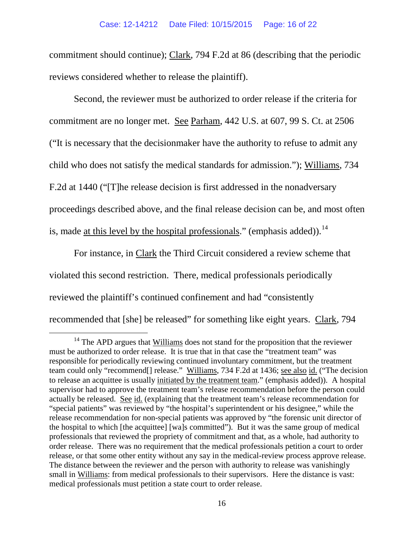commitment should continue); Clark, 794 F.2d at 86 (describing that the periodic reviews considered whether to release the plaintiff).

Second, the reviewer must be authorized to order release if the criteria for commitment are no longer met. See Parham, 442 U.S. at 607, 99 S. Ct. at 2506 ("It is necessary that the decisionmaker have the authority to refuse to admit any child who does not satisfy the medical standards for admission."); Williams, 734 F.2d at 1440 ("[T]he release decision is first addressed in the nonadversary proceedings described above, and the final release decision can be, and most often is, made <u>at this level by the hospital professionals</u>." (emphasis added)).<sup>[14](#page-15-0)</sup>

For instance, in Clark the Third Circuit considered a review scheme that violated this second restriction. There, medical professionals periodically reviewed the plaintiff's continued confinement and had "consistently recommended that [she] be released" for something like eight years. Clark, 794

<span id="page-15-0"></span> $14$  The APD argues that Williams does not stand for the proposition that the reviewer must be authorized to order release. It is true that in that case the "treatment team" was responsible for periodically reviewing continued involuntary commitment, but the treatment team could only "recommend[] release." Williams, 734 F.2d at 1436; see also id. ("The decision to release an acquittee is usually initiated by the treatment team." (emphasis added)). A hospital supervisor had to approve the treatment team's release recommendation before the person could actually be released. See id. (explaining that the treatment team's release recommendation for "special patients" was reviewed by "the hospital's superintendent or his designee," while the release recommendation for non-special patients was approved by "the forensic unit director of the hospital to which [the acquittee] [wa]s committed"). But it was the same group of medical professionals that reviewed the propriety of commitment and that, as a whole, had authority to order release. There was no requirement that the medical professionals petition a court to order release, or that some other entity without any say in the medical-review process approve release. The distance between the reviewer and the person with authority to release was vanishingly small in Williams: from medical professionals to their supervisors. Here the distance is vast: medical professionals must petition a state court to order release.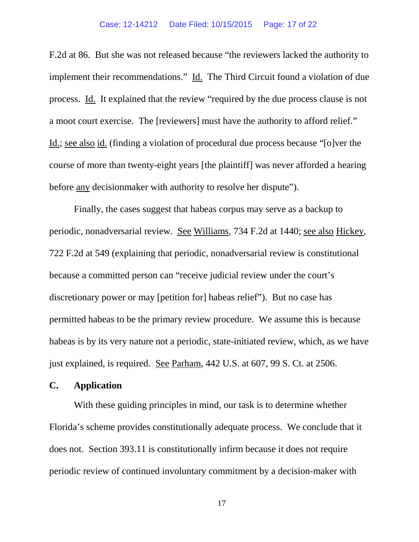#### Case: 12-14212 Date Filed: 10/15/2015 Page: 17 of 22

F.2d at 86. But she was not released because "the reviewers lacked the authority to implement their recommendations." Id. The Third Circuit found a violation of due process. Id. It explained that the review "required by the due process clause is not a moot court exercise. The [reviewers] must have the authority to afford relief." Id.; see also id. (finding a violation of procedural due process because "[o]ver the course of more than twenty-eight years [the plaintiff] was never afforded a hearing before any decisionmaker with authority to resolve her dispute").

Finally, the cases suggest that habeas corpus may serve as a backup to periodic, nonadversarial review. See Williams, 734 F.2d at 1440; see also Hickey, 722 F.2d at 549 (explaining that periodic, nonadversarial review is constitutional because a committed person can "receive judicial review under the court's discretionary power or may [petition for] habeas relief"). But no case has permitted habeas to be the primary review procedure. We assume this is because habeas is by its very nature not a periodic, state-initiated review, which, as we have just explained, is required. See Parham, 442 U.S. at 607, 99 S. Ct. at 2506.

### **C. Application**

With these guiding principles in mind, our task is to determine whether Florida's scheme provides constitutionally adequate process. We conclude that it does not. Section 393.11 is constitutionally infirm because it does not require periodic review of continued involuntary commitment by a decision-maker with

17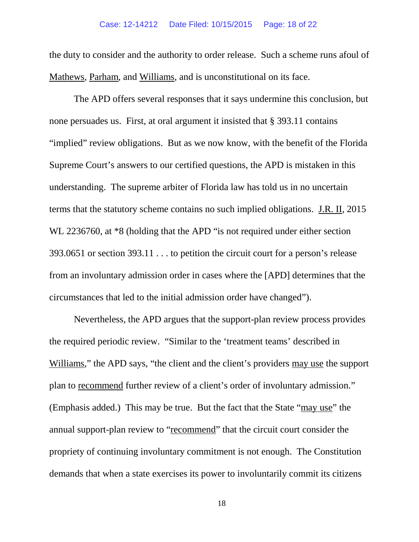the duty to consider and the authority to order release. Such a scheme runs afoul of Mathews, Parham, and Williams, and is unconstitutional on its face.

The APD offers several responses that it says undermine this conclusion, but none persuades us. First, at oral argument it insisted that § 393.11 contains "implied" review obligations. But as we now know, with the benefit of the Florida Supreme Court's answers to our certified questions, the APD is mistaken in this understanding. The supreme arbiter of Florida law has told us in no uncertain terms that the statutory scheme contains no such implied obligations. J.R. II, 2015 WL 2236760, at  $*8$  (holding that the APD "is not required under either section 393.0651 or section 393.11 . . . to petition the circuit court for a person's release from an involuntary admission order in cases where the [APD] determines that the circumstances that led to the initial admission order have changed").

Nevertheless, the APD argues that the support-plan review process provides the required periodic review. "Similar to the 'treatment teams' described in Williams," the APD says, "the client and the client's providers may use the support plan to recommend further review of a client's order of involuntary admission." (Emphasis added.) This may be true. But the fact that the State "may use" the annual support-plan review to "recommend" that the circuit court consider the propriety of continuing involuntary commitment is not enough. The Constitution demands that when a state exercises its power to involuntarily commit its citizens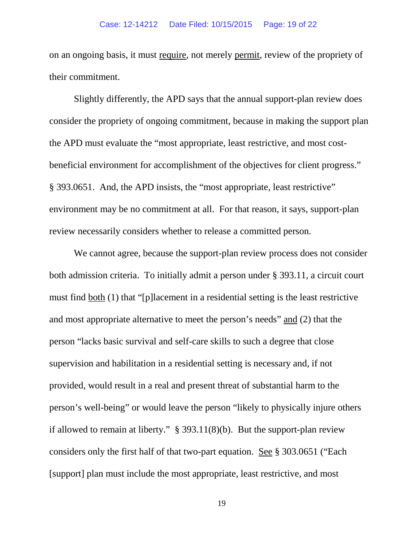on an ongoing basis, it must require, not merely permit, review of the propriety of their commitment.

Slightly differently, the APD says that the annual support-plan review does consider the propriety of ongoing commitment, because in making the support plan the APD must evaluate the "most appropriate, least restrictive, and most costbeneficial environment for accomplishment of the objectives for client progress." § 393.0651. And, the APD insists, the "most appropriate, least restrictive" environment may be no commitment at all. For that reason, it says, support-plan review necessarily considers whether to release a committed person.

We cannot agree, because the support-plan review process does not consider both admission criteria. To initially admit a person under § 393.11, a circuit court must find both (1) that "[p]lacement in a residential setting is the least restrictive and most appropriate alternative to meet the person's needs" and (2) that the person "lacks basic survival and self-care skills to such a degree that close supervision and habilitation in a residential setting is necessary and, if not provided, would result in a real and present threat of substantial harm to the person's well-being" or would leave the person "likely to physically injure others if allowed to remain at liberty." § 393.11(8)(b). But the support-plan review considers only the first half of that two-part equation. See § 303.0651 ("Each [support] plan must include the most appropriate, least restrictive, and most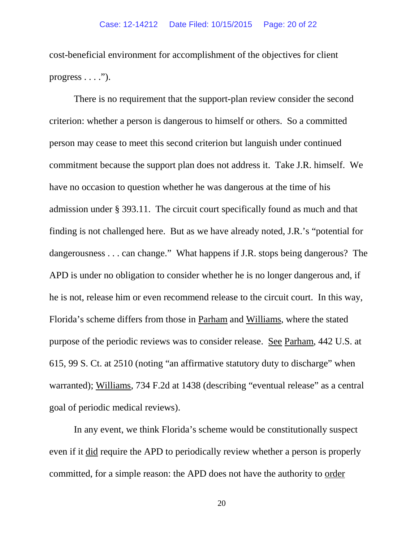cost-beneficial environment for accomplishment of the objectives for client progress  $\dots$  .").

There is no requirement that the support-plan review consider the second criterion: whether a person is dangerous to himself or others. So a committed person may cease to meet this second criterion but languish under continued commitment because the support plan does not address it. Take J.R. himself. We have no occasion to question whether he was dangerous at the time of his admission under § 393.11. The circuit court specifically found as much and that finding is not challenged here. But as we have already noted, J.R.'s "potential for dangerousness . . . can change." What happens if J.R. stops being dangerous? The APD is under no obligation to consider whether he is no longer dangerous and, if he is not, release him or even recommend release to the circuit court. In this way, Florida's scheme differs from those in Parham and Williams, where the stated purpose of the periodic reviews was to consider release. See Parham, 442 U.S. at 615, 99 S. Ct. at 2510 (noting "an affirmative statutory duty to discharge" when warranted); Williams, 734 F.2d at 1438 (describing "eventual release" as a central goal of periodic medical reviews).

In any event, we think Florida's scheme would be constitutionally suspect even if it did require the APD to periodically review whether a person is properly committed, for a simple reason: the APD does not have the authority to order

20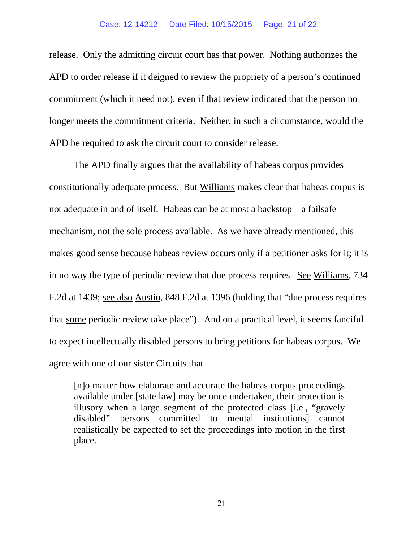release. Only the admitting circuit court has that power. Nothing authorizes the APD to order release if it deigned to review the propriety of a person's continued commitment (which it need not), even if that review indicated that the person no longer meets the commitment criteria. Neither, in such a circumstance, would the APD be required to ask the circuit court to consider release.

The APD finally argues that the availability of habeas corpus provides constitutionally adequate process. But Williams makes clear that habeas corpus is not adequate in and of itself. Habeas can be at most a backstop—a failsafe mechanism, not the sole process available. As we have already mentioned, this makes good sense because habeas review occurs only if a petitioner asks for it; it is in no way the type of periodic review that due process requires. See Williams, 734 F.2d at 1439; see also Austin, 848 F.2d at 1396 (holding that "due process requires that some periodic review take place"). And on a practical level, it seems fanciful to expect intellectually disabled persons to bring petitions for habeas corpus. We agree with one of our sister Circuits that

[n]o matter how elaborate and accurate the habeas corpus proceedings available under [state law] may be once undertaken, their protection is illusory when a large segment of the protected class [i.e., "gravely disabled" persons committed to mental institutions] cannot realistically be expected to set the proceedings into motion in the first place.